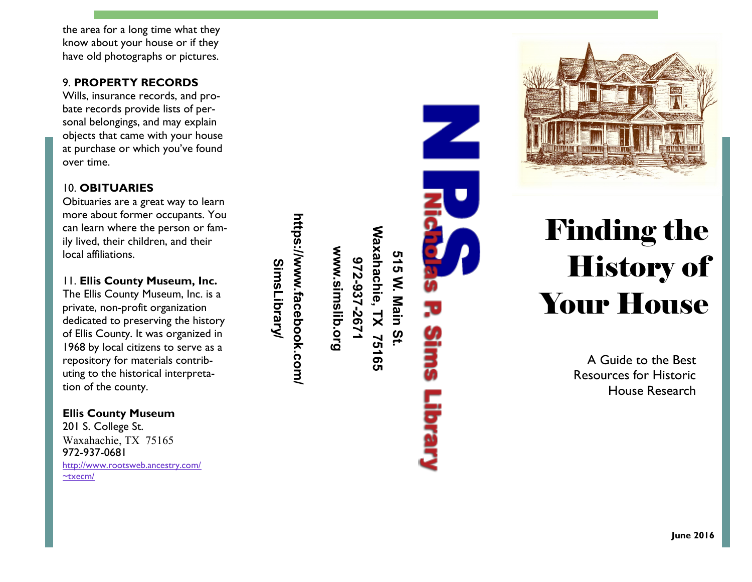the area for a long time what they know about your house or if they have old photographs or pictures.

## 9. **PROPERTY RECORDS**

Wills, insurance records, and probate records provide lists of personal belongings, and may explain objects that came with your house at purchase or which you've found over time.

# 10. **OBITUARIES**

Obituaries are a great way to learn more about former occupants. You can learn where the person or fam ily lived, their children, and their local affiliations.

11. **Ellis County Museum, Inc.** The Ellis County Museum, Inc. is a private, non -profit organization dedicated to preserving the history of Ellis County. It was organized in 1968 by local citizens to serve as a repository for materials contributing to the historical interpretation of the county.

**Ellis County Museum** 201 S. College St. Waxahachie, TX 75165 972 -937 -0681 [http://www.rootsweb.ancestry.com/](http://www.rootsweb.ancestry.com/~txecm/) [~txecm/](http://www.rootsweb.ancestry.com/~txecm/)

Waxahachie, TX 75165 **Waxahachie, TX 75165** www.simslib.org **www.simslib.org** 515 W. Main St. **515 W. Main St. 972-937-2671**

**https://www.facebook.com/**

https://www.facebook.com

**SimsLibrary/**

**SimsLibrary** 



# Finding the History of Your House

A Guide to the Best Resources for Historic House Research